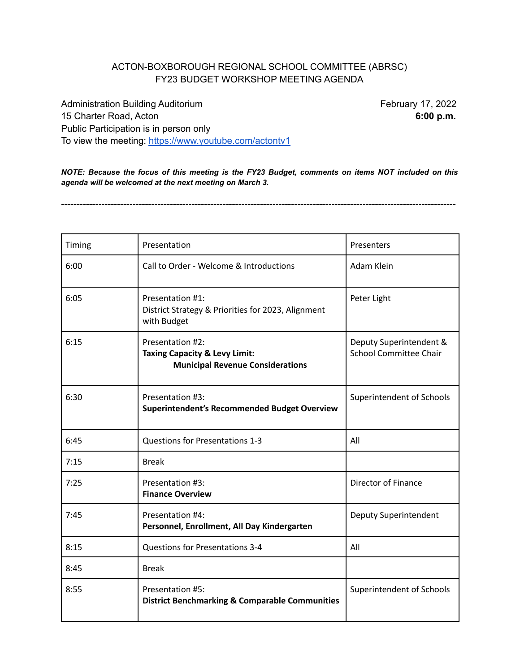## ACTON-BOXBOROUGH REGIONAL SCHOOL COMMITTEE (ABRSC) FY23 BUDGET WORKSHOP MEETING AGENDA

Administration Building Auditorium **February 17, 2022** 15 Charter Road, Acton **6:00 p.m.** Public Participation is in person only To view the meeting: <https://www.youtube.com/actontv1>

*NOTE: Because the focus of this meeting is the FY23 Budget, comments on items NOT included on this agenda will be welcomed at the next meeting on March 3.*

-------------------------------------------------------------------------------------------------------------------------------

| Timing | Presentation                                                                                            | Presenters                                               |
|--------|---------------------------------------------------------------------------------------------------------|----------------------------------------------------------|
| 6:00   | Call to Order - Welcome & Introductions                                                                 | Adam Klein                                               |
| 6:05   | Presentation #1:<br>District Strategy & Priorities for 2023, Alignment<br>with Budget                   | Peter Light                                              |
| 6:15   | Presentation #2:<br><b>Taxing Capacity &amp; Levy Limit:</b><br><b>Municipal Revenue Considerations</b> | Deputy Superintendent &<br><b>School Committee Chair</b> |
| 6:30   | Presentation #3:<br>Superintendent's Recommended Budget Overview                                        | Superintendent of Schools                                |
| 6:45   | <b>Questions for Presentations 1-3</b>                                                                  | All                                                      |
| 7:15   | <b>Break</b>                                                                                            |                                                          |
| 7:25   | Presentation #3:<br><b>Finance Overview</b>                                                             | Director of Finance                                      |
| 7:45   | Presentation #4:<br>Personnel, Enrollment, All Day Kindergarten                                         | Deputy Superintendent                                    |
| 8:15   | Questions for Presentations 3-4                                                                         | All                                                      |
| 8:45   | <b>Break</b>                                                                                            |                                                          |
| 8:55   | Presentation #5:<br><b>District Benchmarking &amp; Comparable Communities</b>                           | Superintendent of Schools                                |